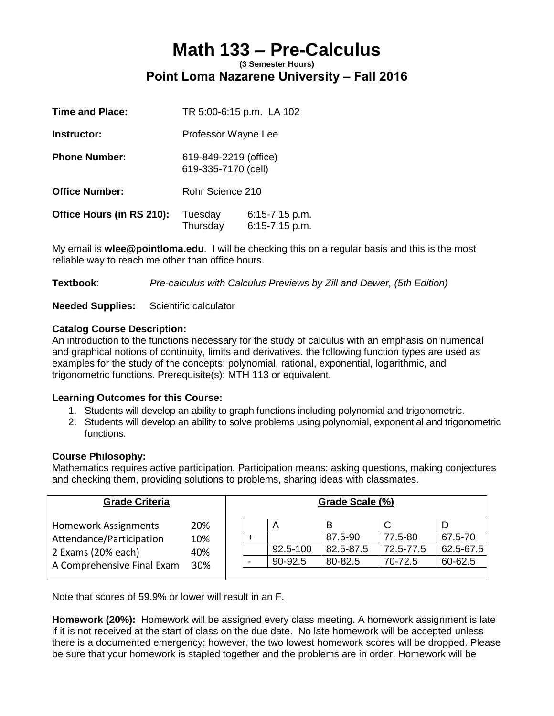## **Math 133 – Pre-Calculus (3 Semester Hours) Point Loma Nazarene University – Fall 2016**

| <b>Time and Place:</b>    | TR 5:00-6:15 p.m. LA 102                     |                                      |
|---------------------------|----------------------------------------------|--------------------------------------|
| Instructor:               | Professor Wayne Lee                          |                                      |
| <b>Phone Number:</b>      | 619-849-2219 (office)<br>619-335-7170 (cell) |                                      |
| <b>Office Number:</b>     | Rohr Science 210                             |                                      |
| Office Hours (in RS 210): | Tuesday<br>Thursday                          | $6:15 - 7:15$ p.m.<br>6:15-7:15 p.m. |

My email is **wlee@pointloma.edu**. I will be checking this on a regular basis and this is the most reliable way to reach me other than office hours.

**Textbook**: *Pre-calculus with Calculus Previews by Zill and Dewer, (5th Edition)*

## **Needed Supplies:** Scientific calculator

## **Catalog Course Description:**

An introduction to the functions necessary for the study of calculus with an emphasis on numerical and graphical notions of continuity, limits and derivatives. the following function types are used as examples for the study of the concepts: polynomial, rational, exponential, logarithmic, and trigonometric functions. Prerequisite(s): MTH 113 or equivalent.

## **Learning Outcomes for this Course:**

- 1. Students will develop an ability to graph functions including polynomial and trigonometric.
- 2. Students will develop an ability to solve problems using polynomial, exponential and trigonometric functions.

#### **Course Philosophy:**

Mathematics requires active participation. Participation means: asking questions, making conjectures and checking them, providing solutions to problems, sharing ideas with classmates.

| <b>Grade Criteria</b>      |            | Grade Scale (%) |  |          |           |           |               |
|----------------------------|------------|-----------------|--|----------|-----------|-----------|---------------|
| Homework Assignments       | 20%        |                 |  | Α        | В         |           |               |
| Attendance/Participation   | 10%        |                 |  |          | 87.5-90   | 77.5-80   | 67.5-70       |
| 2 Exams (20% each)         | 40%<br>30% |                 |  | 92.5-100 | 82.5-87.5 | 72.5-77.5 | $62.5 - 67.5$ |
| A Comprehensive Final Exam |            |                 |  | 90-92.5  | 80-82.5   | 70-72.5   | 60-62.5       |
|                            |            |                 |  |          |           |           |               |

Note that scores of 59.9% or lower will result in an F.

**Homework (20%):** Homework will be assigned every class meeting. A homework assignment is late if it is not received at the start of class on the due date. No late homework will be accepted unless there is a documented emergency; however, the two lowest homework scores will be dropped. Please be sure that your homework is stapled together and the problems are in order. Homework will be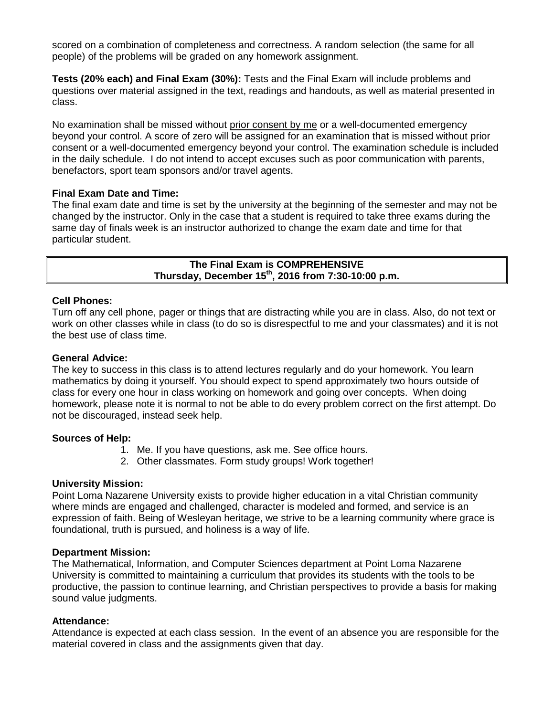scored on a combination of completeness and correctness. A random selection (the same for all people) of the problems will be graded on any homework assignment.

**Tests (20% each) and Final Exam (30%):** Tests and the Final Exam will include problems and questions over material assigned in the text, readings and handouts, as well as material presented in class.

No examination shall be missed without prior consent by me or a well-documented emergency beyond your control. A score of zero will be assigned for an examination that is missed without prior consent or a well-documented emergency beyond your control. The examination schedule is included in the daily schedule. I do not intend to accept excuses such as poor communication with parents, benefactors, sport team sponsors and/or travel agents.

## **Final Exam Date and Time:**

The final exam date and time is set by the university at the beginning of the semester and may not be changed by the instructor. Only in the case that a student is required to take three exams during the same day of finals week is an instructor authorized to change the exam date and time for that particular student.

> **The Final Exam is COMPREHENSIVE Thursday, December 15 th, 2016 from 7:30-10:00 p.m.**

## **Cell Phones:**

Turn off any cell phone, pager or things that are distracting while you are in class. Also, do not text or work on other classes while in class (to do so is disrespectful to me and your classmates) and it is not the best use of class time.

#### **General Advice:**

The key to success in this class is to attend lectures regularly and do your homework. You learn mathematics by doing it yourself. You should expect to spend approximately two hours outside of class for every one hour in class working on homework and going over concepts. When doing homework, please note it is normal to not be able to do every problem correct on the first attempt. Do not be discouraged, instead seek help.

#### **Sources of Help:**

- 1. Me. If you have questions, ask me. See office hours.
- 2. Other classmates. Form study groups! Work together!

#### **University Mission:**

Point Loma Nazarene University exists to provide higher education in a vital Christian community where minds are engaged and challenged, character is modeled and formed, and service is an expression of faith. Being of Wesleyan heritage, we strive to be a learning community where grace is foundational, truth is pursued, and holiness is a way of life.

#### **Department Mission:**

The Mathematical, Information, and Computer Sciences department at Point Loma Nazarene University is committed to maintaining a curriculum that provides its students with the tools to be productive, the passion to continue learning, and Christian perspectives to provide a basis for making sound value judgments.

#### **Attendance:**

Attendance is expected at each class session. In the event of an absence you are responsible for the material covered in class and the assignments given that day.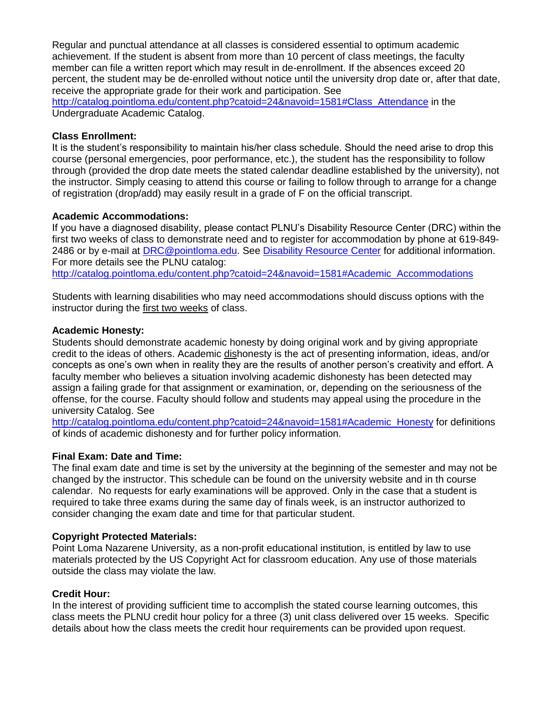Regular and punctual attendance at all classes is considered essential to optimum academic achievement. If the student is absent from more than 10 percent of class meetings, the faculty member can file a written report which may result in de-enrollment. If the absences exceed 20 percent, the student may be de-enrolled without notice until the university drop date or, after that date, receive the appropriate grade for their work and participation. See

[http://catalog.pointloma.edu/content.php?catoid=24&navoid=1581#Class\\_Attendance](http://catalog.pointloma.edu/content.php?catoid=24&navoid=1581#Class_Attendance) in the Undergraduate Academic Catalog.

## **Class Enrollment:**

It is the student's responsibility to maintain his/her class schedule. Should the need arise to drop this course (personal emergencies, poor performance, etc.), the student has the responsibility to follow through (provided the drop date meets the stated calendar deadline established by the university), not the instructor. Simply ceasing to attend this course or failing to follow through to arrange for a change of registration (drop/add) may easily result in a grade of F on the official transcript.

## **Academic Accommodations:**

If you have a diagnosed disability, please contact PLNU's Disability Resource Center (DRC) within the first two weeks of class to demonstrate need and to register for accommodation by phone at 619-849- 2486 or by e-mail at [DRC@pointloma.edu.](mailto:DRC@pointloma.edu) See [Disability Resource Center](http://www.pointloma.edu/experience/offices/administrative-offices/academic-advising-office/disability-resource-center) for additional information. For more details see the PLNU catalog: [http://catalog.pointloma.edu/content.php?catoid=24&navoid=1581#Academic\\_Accommodations](http://catalog.pointloma.edu/content.php?catoid=24&navoid=1581#Academic_Accommodations)

Students with learning disabilities who may need accommodations should discuss options with the instructor during the first two weeks of class.

## **Academic Honesty:**

Students should demonstrate academic honesty by doing original work and by giving appropriate credit to the ideas of others. Academic dishonesty is the act of presenting information, ideas, and/or concepts as one's own when in reality they are the results of another person's creativity and effort. A faculty member who believes a situation involving academic dishonesty has been detected may assign a failing grade for that assignment or examination, or, depending on the seriousness of the offense, for the course. Faculty should follow and students may appeal using the procedure in the university Catalog. See

[http://catalog.pointloma.edu/content.php?catoid=24&navoid=1581#Academic\\_Honesty](http://catalog.pointloma.edu/content.php?catoid=24&navoid=1581#Academic_Honesty) for definitions of kinds of academic dishonesty and for further policy information.

## **Final Exam: Date and Time:**

The final exam date and time is set by the university at the beginning of the semester and may not be changed by the instructor. This schedule can be found on the university website and in th course calendar. No requests for early examinations will be approved. Only in the case that a student is required to take three exams during the same day of finals week, is an instructor authorized to consider changing the exam date and time for that particular student.

#### **Copyright Protected Materials:**

Point Loma Nazarene University, as a non-profit educational institution, is entitled by law to use materials protected by the US Copyright Act for classroom education. Any use of those materials outside the class may violate the law.

#### **Credit Hour:**

In the interest of providing sufficient time to accomplish the stated course learning outcomes, this class meets the PLNU credit hour policy for a three (3) unit class delivered over 15 weeks. Specific details about how the class meets the credit hour requirements can be provided upon request.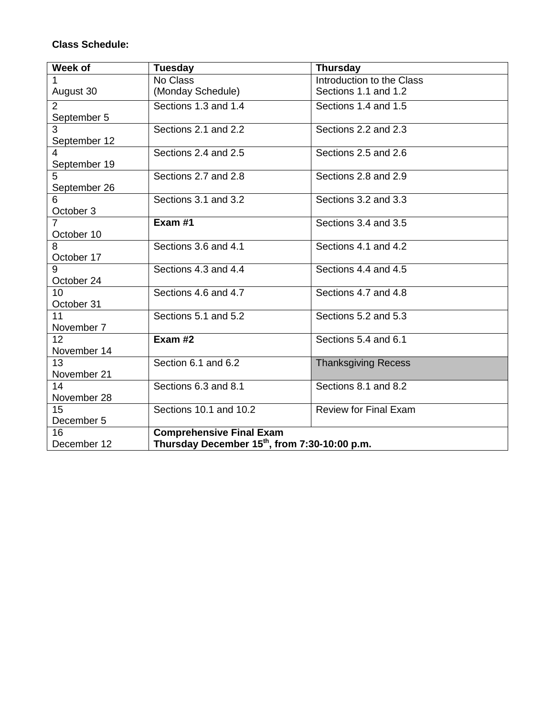## **Class Schedule:**

| Week of                                                                  | <b>Tuesday</b>                  | <b>Thursday</b>              |  |
|--------------------------------------------------------------------------|---------------------------------|------------------------------|--|
|                                                                          | No Class                        | Introduction to the Class    |  |
| August 30                                                                | (Monday Schedule)               | Sections 1.1 and 1.2         |  |
| $\overline{2}$                                                           | Sections 1.3 and 1.4            | Sections 1.4 and 1.5         |  |
| September 5                                                              |                                 |                              |  |
| 3                                                                        | Sections 2.1 and 2.2            | Sections 2.2 and 2.3         |  |
| September 12                                                             |                                 |                              |  |
|                                                                          | Sections 2.4 and 2.5            | Sections 2.5 and 2.6         |  |
| September 19                                                             |                                 |                              |  |
| 5                                                                        | Sections 2.7 and 2.8            | Sections 2.8 and 2.9         |  |
| September 26                                                             |                                 |                              |  |
| 6                                                                        | Sections 3.1 and 3.2            | Sections 3.2 and 3.3         |  |
| October 3                                                                |                                 |                              |  |
|                                                                          | Exam #1                         | Sections 3.4 and 3.5         |  |
| October 10                                                               |                                 |                              |  |
|                                                                          | Sections 3.6 and 4.1            | Sections 4.1 and 4.2         |  |
| October 17                                                               |                                 |                              |  |
| 9                                                                        | Sections 4.3 and 4.4            | Sections 4.4 and 4.5         |  |
| October 24                                                               |                                 |                              |  |
| 10                                                                       | Sections 4.6 and 4.7            | Sections 4.7 and 4.8         |  |
| October 31                                                               |                                 |                              |  |
| 11                                                                       | Sections 5.1 and 5.2            | Sections 5.2 and 5.3         |  |
| November 7                                                               |                                 |                              |  |
| 12 <sup>2</sup>                                                          | Exam #2                         | Sections 5.4 and 6.1         |  |
| November 14                                                              |                                 |                              |  |
| 13                                                                       | Section 6.1 and 6.2             | <b>Thanksgiving Recess</b>   |  |
| November 21                                                              |                                 |                              |  |
| 14                                                                       | Sections 6.3 and 8.1            | Sections 8.1 and 8.2         |  |
| November 28                                                              |                                 |                              |  |
| 15                                                                       | Sections 10.1 and 10.2          | <b>Review for Final Exam</b> |  |
| December 5                                                               |                                 |                              |  |
| 16                                                                       | <b>Comprehensive Final Exam</b> |                              |  |
| Thursday December 15 <sup>th</sup> , from 7:30-10:00 p.m.<br>December 12 |                                 |                              |  |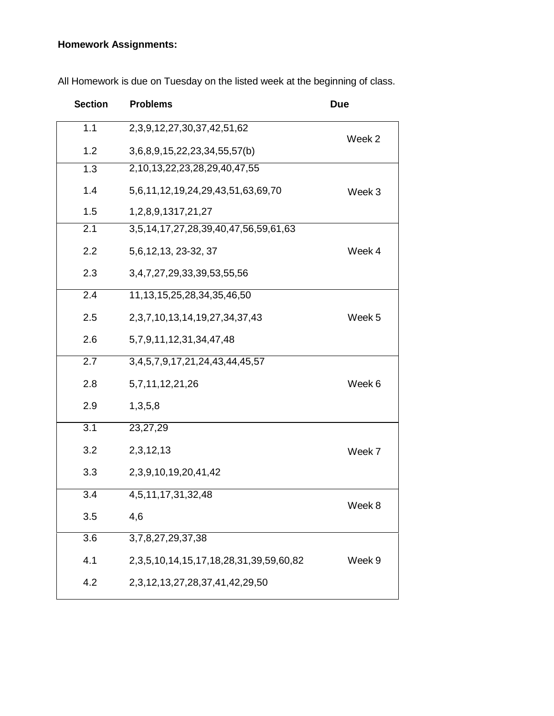# **Homework Assignments:**

| <b>Section</b>   | <b>Problems</b>                                     | <b>Due</b> |
|------------------|-----------------------------------------------------|------------|
| 1.1              | 2, 3, 9, 12, 27, 30, 37, 42, 51, 62                 | Week 2     |
| 1.2              | 3,6,8,9,15,22,23,34,55,57(b)                        |            |
| 1.3              | 2,10,13,22,23,28,29,40,47,55                        |            |
| 1.4              | 5,6,11,12,19,24,29,43,51,63,69,70                   | Week 3     |
| 1.5              | 1, 2, 8, 9, 1317, 21, 27                            |            |
| 2.1              | 3,5,14,17,27,28,39,40,47,56,59,61,63                |            |
| 2.2              | 5, 6, 12, 13, 23-32, 37                             | Week 4     |
| 2.3              | 3,4,7,27,29,33,39,53,55,56                          |            |
| $\overline{2.4}$ | 11, 13, 15, 25, 28, 34, 35, 46, 50                  |            |
| 2.5              | 2, 3, 7, 10, 13, 14, 19, 27, 34, 37, 43             | Week 5     |
| 2.6              | 5,7,9,11,12,31,34,47,48                             |            |
| 2.7              | 3, 4, 5, 7, 9, 17, 21, 24, 43, 44, 45, 57           |            |
| 2.8              | 5,7,11,12,21,26                                     | Week 6     |
| 2.9              | 1,3,5,8                                             |            |
| 3.1              | 23,27,29                                            |            |
| 3.2              | 2,3,12,13                                           | Week 7     |
| 3.3              | 2, 3, 9, 10, 19, 20, 41, 42                         |            |
| $\overline{3.4}$ | 4,5,11,17,31,32,48                                  |            |
| 3.5              | 4,6                                                 | Week 8     |
| 3.6              | 3,7,8,27,29,37,38                                   |            |
| 4.1              | 2, 3, 5, 10, 14, 15, 17, 18, 28, 31, 39, 59, 60, 82 | Week 9     |
| 4.2              | 2, 3, 12, 13, 27, 28, 37, 41, 42, 29, 50            |            |

All Homework is due on Tuesday on the listed week at the beginning of class.